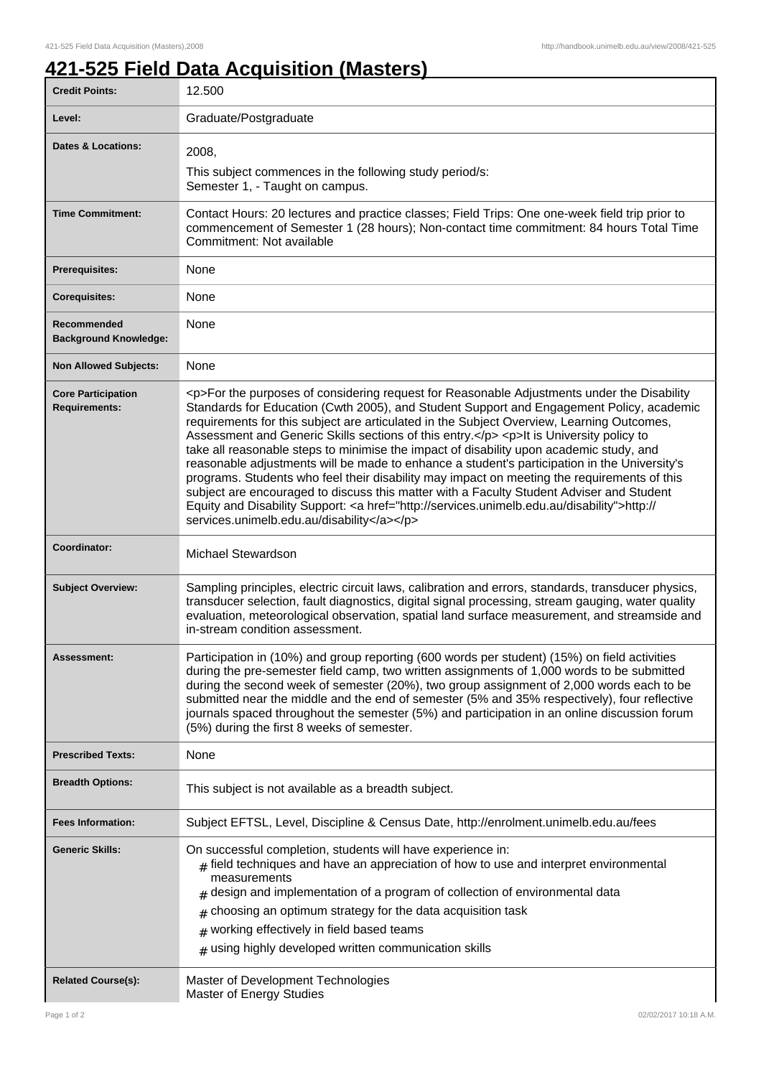## **421-525 Field Data Acquisition (Masters)**

| <b>Credit Points:</b>                             | 12.500                                                                                                                                                                                                                                                                                                                                                                                                                                                                                                                                                                                                                                                                                                                                                                                                                                                                                                                       |
|---------------------------------------------------|------------------------------------------------------------------------------------------------------------------------------------------------------------------------------------------------------------------------------------------------------------------------------------------------------------------------------------------------------------------------------------------------------------------------------------------------------------------------------------------------------------------------------------------------------------------------------------------------------------------------------------------------------------------------------------------------------------------------------------------------------------------------------------------------------------------------------------------------------------------------------------------------------------------------------|
| Level:                                            | Graduate/Postgraduate                                                                                                                                                                                                                                                                                                                                                                                                                                                                                                                                                                                                                                                                                                                                                                                                                                                                                                        |
| <b>Dates &amp; Locations:</b>                     | 2008,                                                                                                                                                                                                                                                                                                                                                                                                                                                                                                                                                                                                                                                                                                                                                                                                                                                                                                                        |
|                                                   | This subject commences in the following study period/s:<br>Semester 1, - Taught on campus.                                                                                                                                                                                                                                                                                                                                                                                                                                                                                                                                                                                                                                                                                                                                                                                                                                   |
| <b>Time Commitment:</b>                           | Contact Hours: 20 lectures and practice classes; Field Trips: One one-week field trip prior to<br>commencement of Semester 1 (28 hours); Non-contact time commitment: 84 hours Total Time<br>Commitment: Not available                                                                                                                                                                                                                                                                                                                                                                                                                                                                                                                                                                                                                                                                                                       |
| <b>Prerequisites:</b>                             | None                                                                                                                                                                                                                                                                                                                                                                                                                                                                                                                                                                                                                                                                                                                                                                                                                                                                                                                         |
| <b>Corequisites:</b>                              | None                                                                                                                                                                                                                                                                                                                                                                                                                                                                                                                                                                                                                                                                                                                                                                                                                                                                                                                         |
| Recommended<br><b>Background Knowledge:</b>       | None                                                                                                                                                                                                                                                                                                                                                                                                                                                                                                                                                                                                                                                                                                                                                                                                                                                                                                                         |
| <b>Non Allowed Subjects:</b>                      | None                                                                                                                                                                                                                                                                                                                                                                                                                                                                                                                                                                                                                                                                                                                                                                                                                                                                                                                         |
| <b>Core Participation</b><br><b>Requirements:</b> | <p>For the purposes of considering request for Reasonable Adjustments under the Disability<br/>Standards for Education (Cwth 2005), and Student Support and Engagement Policy, academic<br/>requirements for this subject are articulated in the Subject Overview, Learning Outcomes,<br/>Assessment and Generic Skills sections of this entry.</p> <p>lt is University policy to<br/>take all reasonable steps to minimise the impact of disability upon academic study, and<br/>reasonable adjustments will be made to enhance a student's participation in the University's<br/>programs. Students who feel their disability may impact on meeting the requirements of this<br/>subject are encouraged to discuss this matter with a Faculty Student Adviser and Student<br/>Equity and Disability Support: &lt; a href="http://services.unimelb.edu.au/disability"&gt;http://<br/>services.unimelb.edu.au/disability</p> |
| Coordinator:                                      | Michael Stewardson                                                                                                                                                                                                                                                                                                                                                                                                                                                                                                                                                                                                                                                                                                                                                                                                                                                                                                           |
| <b>Subject Overview:</b>                          | Sampling principles, electric circuit laws, calibration and errors, standards, transducer physics,<br>transducer selection, fault diagnostics, digital signal processing, stream gauging, water quality<br>evaluation, meteorological observation, spatial land surface measurement, and streamside and<br>in-stream condition assessment.                                                                                                                                                                                                                                                                                                                                                                                                                                                                                                                                                                                   |
| Assessment:                                       | Participation in (10%) and group reporting (600 words per student) (15%) on field activities<br>during the pre-semester field camp, two written assignments of 1,000 words to be submitted<br>during the second week of semester (20%), two group assignment of 2,000 words each to be<br>submitted near the middle and the end of semester (5% and 35% respectively), four reflective<br>journals spaced throughout the semester (5%) and participation in an online discussion forum<br>(5%) during the first 8 weeks of semester.                                                                                                                                                                                                                                                                                                                                                                                         |
| <b>Prescribed Texts:</b>                          | None                                                                                                                                                                                                                                                                                                                                                                                                                                                                                                                                                                                                                                                                                                                                                                                                                                                                                                                         |
| <b>Breadth Options:</b>                           | This subject is not available as a breadth subject.                                                                                                                                                                                                                                                                                                                                                                                                                                                                                                                                                                                                                                                                                                                                                                                                                                                                          |
| <b>Fees Information:</b>                          | Subject EFTSL, Level, Discipline & Census Date, http://enrolment.unimelb.edu.au/fees                                                                                                                                                                                                                                                                                                                                                                                                                                                                                                                                                                                                                                                                                                                                                                                                                                         |
| <b>Generic Skills:</b>                            | On successful completion, students will have experience in:<br>$#$ field techniques and have an appreciation of how to use and interpret environmental<br>measurements<br>design and implementation of a program of collection of environmental data<br>choosing an optimum strategy for the data acquisition task<br>#<br>working effectively in field based teams<br>#<br>$#$ using highly developed written communication skills                                                                                                                                                                                                                                                                                                                                                                                                                                                                                          |
| <b>Related Course(s):</b>                         | Master of Development Technologies<br>Master of Energy Studies                                                                                                                                                                                                                                                                                                                                                                                                                                                                                                                                                                                                                                                                                                                                                                                                                                                               |